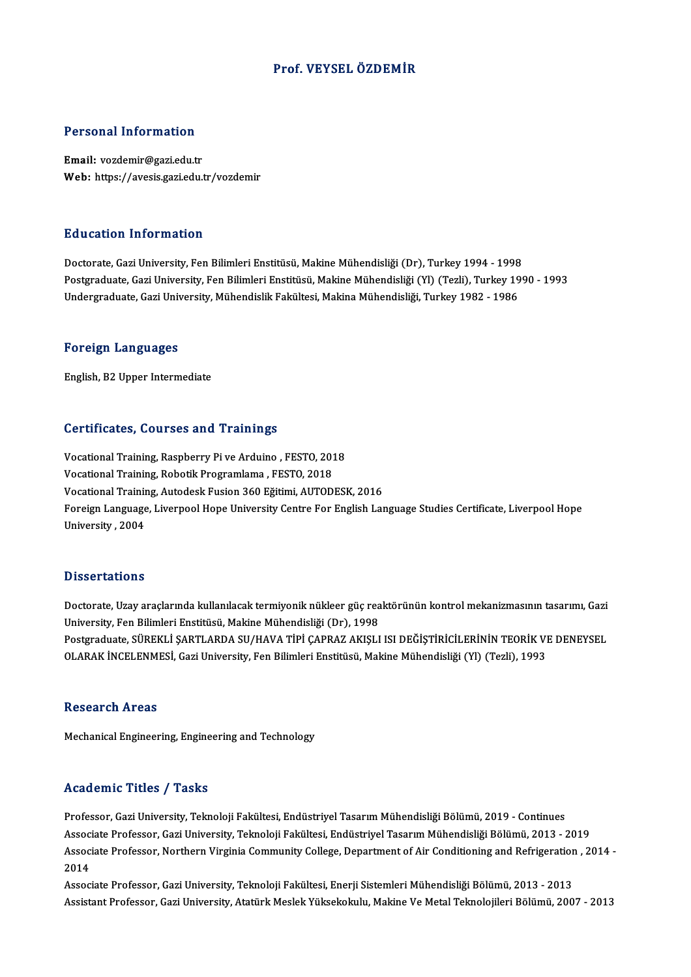## Prof. VEYSELÖZDEMİR

### Personal Information

Email: vozdemir@gazi.edu.tr Web: https://avesis.gazi.edu.tr/vozdemir

### Education Information

Doctorate, Gazi University, Fen Bilimleri Enstitüsü, Makine Mühendisliği (Dr), Turkey 1994 - 1998 Postgraduate, Gazi University, Fen Bilimleri Enstitüsü, Makine Mühendisliği (Yl) (Tezli), Turkey 1990 - 1993 Undergraduate,GaziUniversity,MühendislikFakültesi,MakinaMühendisliği,Turkey1982 -1986

### Foreign Languages

English,B2Upper Intermediate

### Certificates, Courses and Trainings

Vocational Training, Raspberry Pi ve Arduino , FESTO, 2018 Vocational Training, Robotik Programlama , FESTO, 2018 Vocational Training, Autodesk Fusion 360 Eğitimi, AUTODESK, 2016 Foreign Language, Liverpool Hope University Centre For English Language Studies Certificate, Liverpool Hope University ,2004

### **Dissertations**

Dissertations<br>Doctorate, Uzay araçlarında kullanılacak termiyonik nükleer güç reaktörünün kontrol mekanizmasının tasarımı, Gazi<br>University, Fen Bilimleri Enstitüsü, Mekine Mühendieliği (Dr), 1998 D'isser tatroms<br>Doctorate, Uzay araçlarında kullanılacak termiyonik nükleer güç rea<br>University, Fen Bilimleri Enstitüsü, Makine Mühendisliği (Dr), 1998<br>Postsraduate SÜREKLİ SARTLARDA SU/HAVA TİRİ GARRAZ AKISLI Doctorate, Uzay araçlarında kullanılacak termiyonik nükleer güç reaktörünün kontrol mekanizmasının tasarımı, Gazi<br>University, Fen Bilimleri Enstitüsü, Makine Mühendisliği (Dr), 1998<br>Postgraduate, SÜREKLİ ŞARTLARDA SU/HAVA University, Fen Bilimleri Enstitüsü, Makine Mühendisliği (Dr), 1998<br>Postgraduate, SÜREKLİ ŞARTLARDA SU/HAVA TİPİ ÇAPRAZ AKIŞLI ISI DEĞİŞTİRİCİLERİNİN TEORİK VI<br>OLARAK İNCELENMESİ, Gazi University, Fen Bilimleri Enstitüsü, OLARAK İNCELENMESİ, Gazi University, Fen Bilimleri Enstitüsü, Makine Mühendisliği (Yl) (Tezli), 1993<br>Research Areas

Mechanical Engineering, Engineering and Technology

### Academic Titles / Tasks

Professor, Gazi University, Teknoloji Fakültesi, Endüstriyel Tasarım Mühendisliği Bölümü, 2019 - Continues Associate Professor, Gazi University, Teknoloji Fakültesi, Endüstriyel Tasarım Mühendisliği Bölümü, 2013 - 2019 Professor, Gazi University, Teknoloji Fakültesi, Endüstriyel Tasarım Mühendisliği Bölümü, 2019 - Continues<br>Associate Professor, Gazi University, Teknoloji Fakültesi, Endüstriyel Tasarım Mühendisliği Bölümü, 2013 - 2019<br>Ass Assoc<br>Assoc<br>2014<br>Assoc Associate Professor, Northern Virginia Community College, Department of Air Conditioning and Refrigeratior<br>2014<br>Associate Professor, Gazi University, Teknoloji Fakültesi, Enerji Sistemleri Mühendisliği Bölümü, 2013 - 2013<br>

2014<br>Associate Professor, Gazi University, Teknoloji Fakültesi, Enerji Sistemleri Mühendisliği Bölümü, 2013 - 2013<br>Assistant Professor, Gazi University, Atatürk Meslek Yüksekokulu, Makine Ve Metal Teknolojileri Bölümü, 200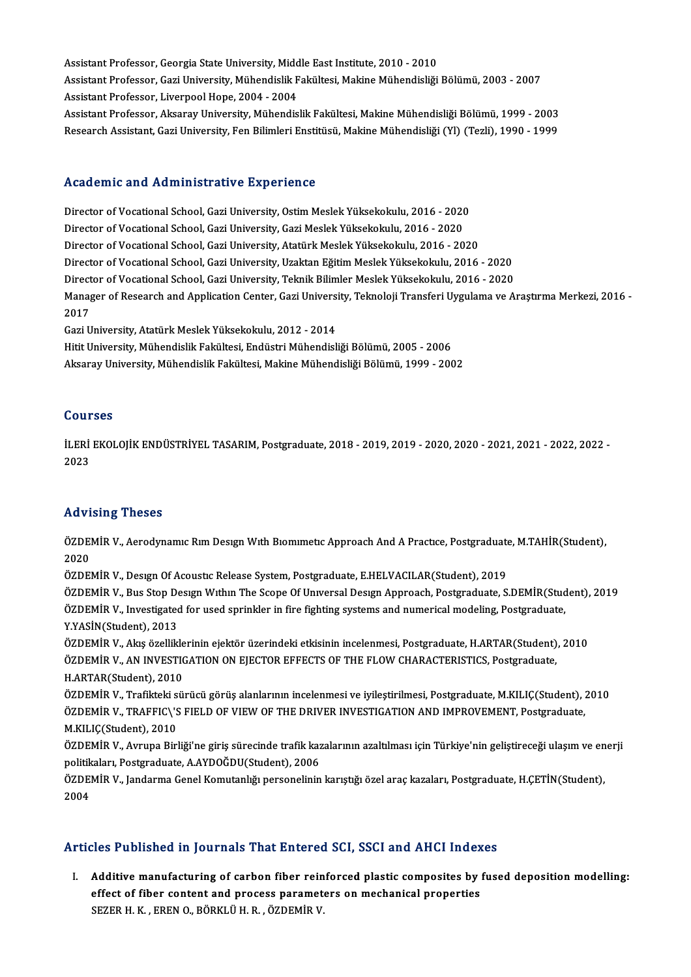Assistant Professor, Georgia State University, Middle East Institute, 2010 - 2010<br>Assistant Professor, Georgia State University, Middle East Institute, 2010 - 2010 Assistant Professor, Gazi University, Mühendislik Fakültesi, Makine Mühendisliği Bölümü, 2003 - 2007<br>Assistant Professor, Liverpool Hope, 2004 - 2004 Assistant Professor, Georgia State University, Midd<br>Assistant Professor, Gazi University, Mühendislik F<br>Assistant Professor, Liverpool Hope, 2004 - 2004<br>Assistant Professor, Alsonau University, Mühandis Assistant Professor, Gazi University, Mühendislik Fakültesi, Makine Mühendisliği Bölümü, 2003 - 2007<br>Assistant Professor, Liverpool Hope, 2004 - 2004<br>Assistant Professor, Aksaray University, Mühendislik Fakültesi, Makine M Assistant Professor, Liverpool Hope, 2004 - 2004<br>Assistant Professor, Aksaray University, Mühendislik Fakültesi, Makine Mühendisliği Bölümü, 1999 - 2003<br>Research Assistant, Gazi University, Fen Bilimleri Enstitüsü, Makine

# Research Assistant, Gazi University, Fen Bilimleri Enstitüsü, Makine Mühendisliği (Yl) (Tezli), 1990 - 1999<br>Academic and Administrative Experience

Director ofVocationalSchool,GaziUniversity,OstimMeslekYüksekokulu,2016 -2020 Director of Vocational School, Gazi University, Gazi Meslek Yüksekokulu, 2016 - 2020 Director of Vocational School, Gazi University, Atatürk Meslek Yüksekokulu, 2016 - 2020 Director of Vocational School, Gazi University, Gazi Meslek Yüksekokulu, 2016 - 2020<br>Director of Vocational School, Gazi University, Atatürk Meslek Yüksekokulu, 2016 - 2020<br>Director of Vocational School, Gazi University, U Director of Vocational School, Gazi University, Atatürk Meslek Yüksekokulu, 2016 - 2020<br>Director of Vocational School, Gazi University, Uzaktan Eğitim Meslek Yüksekokulu, 2016 - 2020<br>Director of Vocational School, Gazi Uni Director of Vocational School, Gazi University, Uzaktan Eğitim Meslek Yüksekokulu, 2016 - 2020<br>Director of Vocational School, Gazi University, Teknik Bilimler Meslek Yüksekokulu, 2016 - 2020<br>Manager of Research and Applica Director of Vocational School, Gazi University, Teknik Bilimler Meslek Yüksekokulu, 2016 - 2020<br>Manager of Research and Application Center, Gazi University, Teknoloji Transferi Uygulama ve A<br>2017<br>Gazi University, Atatürk M Manager of Research and Application Center, Gazi Univers:<br>2017<br>Gazi University, Atatürk Meslek Yüksekokulu, 2012 - 2014<br>Hitit University, Mühandielik Fakültesi, Endüstri Mühandiel

2017<br>Gazi University, Atatürk Meslek Yüksekokulu, 2012 - 2014<br>Hitit University, Mühendislik Fakültesi, Endüstri Mühendisliği Bölümü, 2005 - 2006<br>Akaanay University, Mühendislik Fakültesi, Makine Mühendisliği Bölümü, 1999 -Gazi University, Atatürk Meslek Yüksekokulu, 2012 - 2014<br>Hitit University, Mühendislik Fakültesi, Endüstri Mühendisliği Bölümü, 2005 - 2006<br>Aksaray University, Mühendislik Fakültesi, Makine Mühendisliği Bölümü, 1999 - 2002 Aksaray University, Mühendislik Fakültesi, Makine Mühendisliği Bölümü, 1999 - 2002<br>Courses

Courses<br>İLERİ EKOLOJİK ENDÜSTRİYEL TASARIM, Postgraduate, 2018 - 2019, 2019 - 2020, 2020 - 2021, 2021 - 2022, 2022 -<br>2022 **2021**<br>ILERI<br>2023

# Advising Theses

Advising Theses<br>ÖZDEMİR V., Aerodynamıc Rım Desıgn Wıth Bıomımetıc Approach And A Practıce, Postgraduate, M.TAHİR(Student),<br>2020 11471<br>ÖZDEI<br>2020 ÖZDEMİR V., Aerodynamıc Rım Desıgn With Biomimetic Approach And A Practice, Postgraduate<br>2020<br>ÖZDEMİR V., Design Of Acoustic Release System, Postgraduate, E.HELVACILAR(Student), 2019<br>ÖZDEMİR V., Pus Stan Design Within The

2020<br>ÖZDEMİR V., Desıgn Of Acoustic Release System, Postgraduate, E.HELVACILAR(Student), 2019<br>ÖZDEMİR V., Bus Stop Design Within The Scope Of Universal Design Approach, Postgraduate, S.DEMİR(Student), 2019<br>ÖZDEMİR V., Inve ÖZDEMİR V., Design Of Acoustic Release System, Postgraduate, E.HELVACILAR(Student), 2019<br>ÖZDEMİR V., Bus Stop Design Within The Scope Of Universal Design Approach, Postgraduate, S.DEMİR(Stud<br>ÖZDEMİR V., Investigated for us ÖZDEMİR V., Investigated for used sprinkler in fire fighting systems and numerical modeling, Postgraduate, Y.YASİN(Student), 2013 ÖZDEMİR V., Investigated for used sprinkler in fire fighting systems and numerical modeling, Postgraduate,<br>Y.YASİN(Student), 2013<br>ÖZDEMİR V., Akış özelliklerinin ejektör üzerindeki etkisinin incelenmesi, Postgraduate, H.AR

Y.YASİN(Student), 2013<br>ÖZDEMİR V., Akış özelliklerinin ejektör üzerindeki etkisinin incelenmesi, Postgraduate, H.ARTAR(Student)<br>ÖZDEMİR V., AN INVESTIGATION ON EJECTOR EFFECTS OF THE FLOW CHARACTERISTICS, Postgraduate,<br>H A ÖZDEMİR V., Akış özellikle<br>ÖZDEMİR V., AN INVESTI(<br>H.ARTAR(Student), 2010<br>ÖZDEMİR V., Trafikteki sü ÖZDEMİR V., AN INVESTIGATION ON EJECTOR EFFECTS OF THE FLOW CHARACTERISTICS, Postgraduate,<br>H.ARTAR(Student), 2010<br>ÖZDEMİR V., Trafikteki sürücü görüş alanlarının incelenmesi ve iyileştirilmesi, Postgraduate, M.KILIÇ(Studen

H.ARTAR(Student), 2010<br>ÖZDEMİR V., Trafikteki sürücü görüş alanlarının incelenmesi ve iyileştirilmesi, Postgraduate, M.KILIÇ(Student),<br>ÖZDEMİR V., TRAFFIC\'S FIELD OF VIEW OF THE DRIVER INVESTIGATION AND IMPROVEMENT, Postg ÖZDEMİR V., Trafikteki s<br>ÖZDEMİR V., TRAFFIC\'S<br>M.KILIÇ(Student), 2010<br>ÖZDEMİR V., Ayruna Birl ÖZDEMİR V., TRAFFIC\'S FIELD OF VIEW OF THE DRIVER INVESTIGATION AND IMPROVEMENT, Postgraduate,<br>M.KILIÇ(Student), 2010<br>ÖZDEMİR V.. Avrupa Birliği'ne giris sürecinde trafik kazalarının azaltılması icin Türkive'nin gelistire

politikaları,Postgraduate,A.AYDOĞDU(Student),2006 ÖZDEMİR V., Avrupa Birliği'ne giriş sürecinde trafik kazalarının azaltılması için Türkiye'nin geliştireceği ulaşım ve en<br>politikaları, Postgraduate, A.AYDOĞDU(Student), 2006<br>ÖZDEMİR V., Jandarma Genel Komutanlığı personeli

politik<br>ÖZDEl<br>2004

# Articles Published in Journals That Entered SCI, SSCI and AHCI Indexes

I. Additive manufacturing of carbon fiber reinforced plastic composites by fused deposition modelling: effect of fiber content and process parameters on mechanical properties<br>effect of fiber content and process parameters on mechanical properties<br>SEZER H K EREN O RÖRKLÜHR ÖZDEMİR V Additive manufacturing of carbon fiber rein<br>effect of fiber content and process paramet<br>SEZER H. K. , EREN 0., BÖRKLÜ H. R. , ÖZDEMİR V.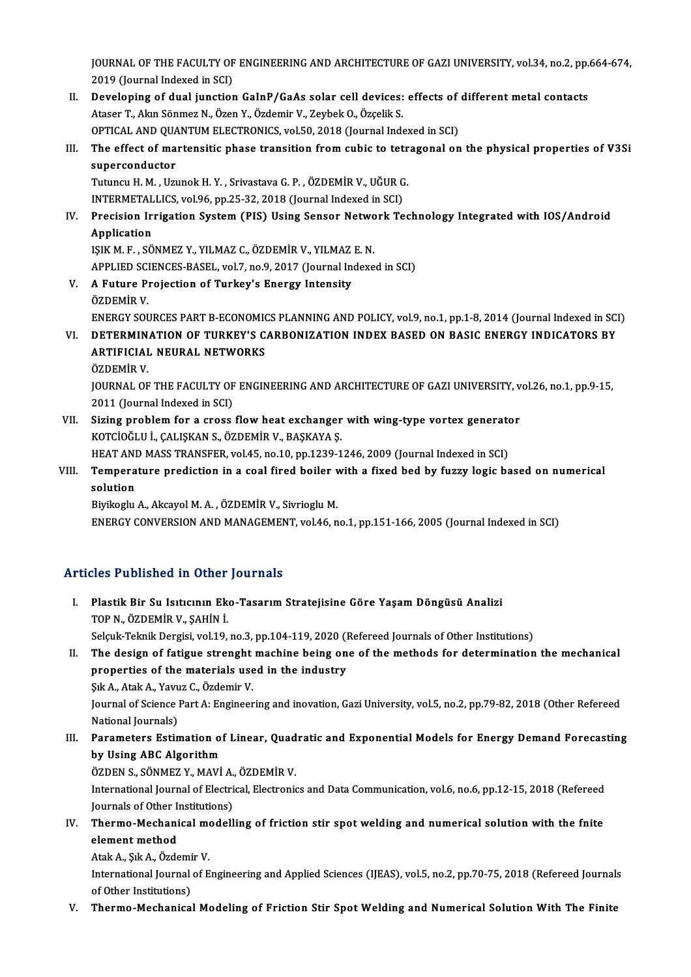JOURNAL OF THE FACULTY OF ENGINEERING AND ARCHITECTURE OF GAZI UNIVERSITY, vol.34, no.2, pp.664-674,<br>2019 (Journal Indoved in SCI) **JOURNAL OF THE FACULTY OF<br>2019 (Journal Indexed in SCI)**<br>Poveloning of dual iungtion I . JOURNAL OF THE FACULTY OF ENGINEERING AND ARCHITECTURE OF GAZI UNIVERSITY, vol.34, no.2, pp.<br>2019 (Journal Indexed in SCI)<br>II. Developing of dual junction GaInP/GaAs solar cell devices: effects of different metal conta

- 2019 (Journal Indexed in SCI)<br>Developing of dual junction GaInP/GaAs solar cell devices:<br>Ataser T., Akın Sönmez N., Özen Y., Özdemir V., Zeybek O., Özçelik S.<br>OPTICAL AND QUANTUM ELECTRONICS, val 50, 2018 (Journal Inde Developing of dual junction GaInP/GaAs solar cell devices: effects of<br>Ataser T., Akın Sönmez N., Özen Y., Özdemir V., Zeybek O., Özçelik S.<br>OPTICAL AND QUANTUM ELECTRONICS, vol.50, 2018 (Journal Indexed in SCI)<br>The effect Ataser T., Akın Sönmez N., Özen Y., Özdemir V., Zeybek O., Özçelik S.<br>OPTICAL AND QUANTUM ELECTRONICS, vol.50, 2018 (Journal Indexed in SCI)<br>III. The effect of martensitic phase transition from cubic to tetragonal on the p
- OPTICAL AND QUANTUM ELECTRONICS, vol.50, 2018 (Journal Indexed in SCI)<br>The effect of martensitic phase transition from cubic to tetragonal on<br>superconductor<br>Tutuncu H. M. , Uzunok H. Y. , Srivastava G. P. , ÖZDEMİR V., UĞU The effect of martensitic phase transition from cubic to tetr<br>superconductor<br>Tutuncu H. M. , Uzunok H. Y. , Srivastava G. P. , ÖZDEMİR V., UĞUR G.<br>INTERMETALLICS vol 96 nn 25 22 2018 (Journal Indoved in SCI)

INTERMETALLICS, vol.96, pp.25-32, 2018 (Journal Indexed in SCI)

# Tutuncu H. M. , Uzunok H. Y. , Srivastava G. P. , ÖZDEMİR V., UĞUR G.<br>INTERMETALLICS, vol.96, pp.25-32, 2018 (Journal Indexed in SCI)<br>IV. Precision Irrigation System (PIS) Using Sensor Network Technology Integrated wit INTERMETAL<br>Precision Ir:<br>Application<br>ISIV M E SÖ Precision Irrigation System (PIS) Using Sensor Netwo<br>Application<br>IŞIK M. F. , SÖNMEZ Y., YILMAZ C., ÖZDEMİR V., YILMAZ E. N.<br>APPLIED SCIENCES BASEL, Yol 7, no.9, 2017 (Journal Indove Application<br>IŞIK M. F. , SÖNMEZ Y., YILMAZ C., ÖZDEMİR V., YILMAZ E. N.<br>APPLIED SCIENCES-BASEL, vol.7, no.9, 2017 (Journal Indexed in SCI)

IŞIK M. F. , SÖNMEZ Y., YILMAZ C., ÖZDEMİR V., YILMAZ<br>APPLIED SCIENCES-BASEL, vol.7, no.9, 2017 (Journal Intensity<br>V. A Future Projection of Turkey's Energy Intensity<br>ÖZDEMİR V. APPLIED SCI<br>**A Future P**i<br>ÖZDEMİR V.<br>ENERCY SQI A Future Projection of Turkey's Energy Intensity<br>ÖZDEMİR V.<br>ENERGY SOURCES PART B-ECONOMICS PLANNING AND POLICY, vol.9, no.1, pp.1-8, 2014 (Journal Indexed in SCI)<br>DETERMINATION OF TURKEY'S CARRONIZATION INDEX RASED ON RAS ÖZDEMİR V.<br>ENERGY SOURCES PART B-ECONOMICS PLANNING AND POLICY, vol.9, no.1, pp.1-8, 2014 (Journal Indexed in SC<br>VI. DETERMINATION OF TURKEY'S CARBONIZATION INDEX BASED ON BASIC ENERGY INDICATORS BY<br>ARTIEICIAL NEURAL N

ENERGY SOURCES PART B-ECONOMIC<br>DETERMINATION OF TURKEY'S C.<br>ARTIFICIAL NEURAL NETWORKS<br>ÖZDEMIR V <mark>DETERMIN.</mark><br>ARTIFICIAI<br>ÖZDEMİR V.<br>JOUPNAL OF ARTIFICIAL NEURAL NETWORKS<br>ÖZDEMİR V.<br>JOURNAL OF THE FACULTY OF ENGINEERING AND ARCHITECTURE OF GAZI UNIVERSITY, vol.26, no.1, pp.9-15,<br>2011 (Journal Indoved in SCI)

ÖZDEMİR V.<br>JOURNAL OF THE FACULTY OF<br>2011 (Journal Indexed in SCI)<br>Siring problem for a grees JOURNAL OF THE FACULTY OF ENGINEERING AND ARCHITECTURE OF GAZI UNIVERSITY, v<br>2011 (Journal Indexed in SCI)<br>VII. Sizing problem for a cross flow heat exchanger with wing-type vortex generator<br>KOTCIOČLU L CALISKAN S ÖZDEMIR

2011 (Journal Indexed in SCI)<br>VII. Sizing problem for a cross flow heat exchanger with wing-type vortex generator<br>KOTCİOĞLU İ., ÇALIŞKAN S., ÖZDEMİR V., BAŞKAYA Ş. Sizing problem for a cross flow heat exchanger with wing-type vortex generato<br>KOTClOĞLU İ., ÇALIŞKAN S., ÖZDEMİR V., BAŞKAYA Ş.<br>HEAT AND MASS TRANSFER, vol.45, no.10, pp.1239-1246, 2009 (Journal Indexed in SCI)<br>Temperature

# KOTCİOĞLU İ., ÇALIŞKAN S., ÖZDEMİR V., BAŞKAYA Ş.<br>HEAT AND MASS TRANSFER, vol.45, no.10, pp.1239-1246, 2009 (Journal Indexed in SCI)<br>VIII. Temperature prediction in a coal fired boiler with a fixed bed by fuzzy logic b HEAT ANI<br>Tempera<br>solution<br><sup>Piviloo</sup>lu Temperature prediction in a coal fired boiler v<br>solution<br>Biyikoglu A., Akcayol M. A. , ÖZDEMİR V., Sivrioglu M.<br>ENEPCY CONVERSION AND MANACEMENT vol.46 n solution<br>Biyikoglu A., Akcayol M. A. , ÖZDEMİR V., Sivrioglu M.<br>ENERGY CONVERSION AND MANAGEMENT, vol.46, no.1, pp.151-166, 2005 (Journal Indexed in SCI)

## Articles Published in Other Journals

rticles Published in Other Journals<br>I. Plastik Bir Su Isıtıcının Eko-Tasarım Stratejisine Göre Yaşam Döngüsü Analizi<br>TOPN ÖZDEMİR V. SAHİN İ TOP YABIBINDA IN DENGI<br>Plastik Bir Su Isiticinin Ek<br>TOP N., ÖZDEMİR V., ŞAHİN İ. Plastik Bir Su Isıtıcının Eko-Tasarım Stratejisine Göre Yaşam Döngüsü Analizi<br>TOP N., ÖZDEMİR V., ŞAHİN İ.<br>Selçuk-Teknik Dergisi, vol.19, no.3, pp.104-119, 2020 (Refereed Journals of Other Institutions)<br>The design of fatig TOP N., ÖZDEMIR V., ŞAHIN I.<br>Selçuk-Teknik Dergisi, vol.19, no.3, pp.104-119, 2020 (Refereed Journals of Other Institutions)<br>II. The design of fatigue strenght machine being one of the methods for determination the mechani

# Selçuk-Teknik Dergisi, vol.19, no.3, pp.104-119, 2020 (1)<br>The design of fatigue strenght machine being on<br>properties of the materials used in the industry<br>Sik A. Atak A. Youws C. Özdemir V. The design of fatigue strenght<br>properties of the materials use<br>Suk A., Atak A., Yavuz C., Özdemir V.<br>Journal of Scionce Part A. Engineer properties of the materials used in the industry<br>Şık A., Atak A., Yavuz C., Özdemir V.<br>Journal of Science Part A: Engineering and inovation, Gazi University, vol.5, no.2, pp.79-82, 2018 (Other Refereed<br>National Journals) Şık A., Atak A., Yavu<br>Journal of Science<br>National Journals)<br>Poromators Estin

# Journal of Science Part A: Engineering and inovation, Gazi University, vol.5, no.2, pp.79-82, 2018 (Other Refereed<br>National Journals)<br>III. Parameters Estimation of Linear, Quadratic and Exponential Models for Energy Demand National Journals)<br>Parameters Estimation of<br>by Using ABC Algorithm<br>ÖZDEN S. SÖNMEZ V. MAVİ Parameters Estimation of Linear, Quad<br>by Using ABC Algorithm<br>ÖZDEN S., SÖNMEZ Y., MAVİ A., ÖZDEMİR V.<br>International Journal of Electrical Electronic

ÖZDEN S., SÖNMEZ Y., MAVİ A., ÖZDEMİR V.

by Using ABC Algorithm<br>ÖZDEN S., SÖNMEZ Y., MAVİ A., ÖZDEMİR V.<br>International Journal of Electrical, Electronics and Data Communication, vol.6, no.6, pp.12-15, 2018 (Refereed International Journal of Electrical, Electronics and Data Communication, vol.6, no.6, pp.12-15, 2018 (Refereed<br>Journals of Other Institutions)<br>IV. Thermo-Mechanical modelling of friction stir spot welding and numerical sol

# Journals of Other Institutions)<br>Thermo-Mechanical modell<br>element method **Thermo-Mechanical me**<br>element method<br>Atak A., Şık A., Özdemir V.<br>International Journal of E

Atak A, Sık A, Özdemir V.

International Journal of Engineering and Applied Sciences (IJEAS), vol.5, no.2, pp.70-75, 2018 (Refereed Journals of Other Institutions)

V. Thermo-Mechanical Modeling of Friction Stir Spot Welding and Numerical Solution With The Finite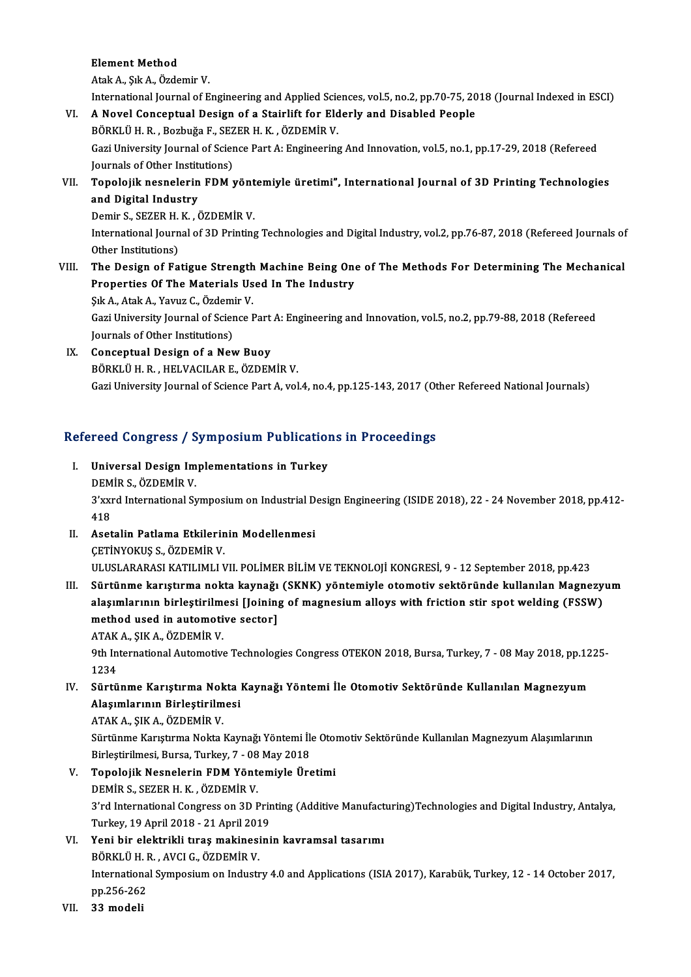Element Method

AtakA.,ŞıkA.,ÖzdemirV.

International Journal of Engineering and Applied Sciences, vol.5, no.2, pp.70-75, 2018 (Journal Indexed in ESCI)

- Atak A., Şık A., Özdemir V.<br>International Journal of Engineering and Applied Sciences, vol.5, no.2, pp.70-75, 20<br>VI. A Novel Conceptual Design of a Stairlift for Elderly and Disabled People International Journal of Engineering and Applied Science A Novel Conceptual Design of a Stairlift for Eld<br>BÖRKLÜH.R. , Bozbuğa F., SEZERH.K. , ÖZDEMİR V. Gazi University Journal of Science Part A: Engineering And Innovation, vol.5, no.1, pp.17-29, 2018 (Refereed BÖRKLÜ H. R., Bozbuğa F., SEZER H. K., ÖZDEMİR V. Journals of Other Institutions)
- VII. Topolojik nesnelerin FDM yöntemiyle üretimi", International Journal of 3D Printing Technologies<br>and Digital Industry Topolojik nesnelerin FDM yönt<br>and Digital Industry<br>Demir S., SEZER H. K. , ÖZDEMİR V.<br>International Journal of 2D Printing

International Journal of 3D Printing Technologies and Digital Industry, vol.2, pp.76-87, 2018 (Refereed Journals of Other Institutions) Demir S., SEZER H.<br>International Journ<br>Other Institutions)<br>The Design of Ea

VIII. The Design of Fatigue Strength Machine Being One of The Methods For Determining The Mechanical Other Institutions)<br>The Design of Fatigue Strength Machine Being One<br>Properties Of The Materials Used In The Industry<br>Sik A. Atak A. Yawur C. Ördemir V The Design of Fatigue Strength<br>Properties Of The Materials Us<br>Şık A., Atak A., Yavuz C., Özdemir V.<br>Ceri University Javunal of Ssiance I

Gazi University Journal of Science Part A: Engineering and Innovation, vol.5, no.2, pp.79-88, 2018 (Refereed Journals of Other Institutions) Sık A., Atak A., Yavuz C., Özdemir V.

IX. Conceptual Design of a New Buoy BÖRKLÜH.R. ,HELVACILARE.,ÖZDEMİRV. Gazi University Journal of Science Part A, vol.4, no.4, pp.125-143, 2017 (Other Refereed National Journals)

# Gazi University Journal of Science Part A, vol.4, no.4, pp.125-145, 2017 (Ut<br>Refereed Congress / Symposium Publications in Proceedings

- Efereed Congress / Symposium Publication<br>I. Universal Design Implementations in Turkey I. Universal Design Implementations in Turkey<br>DEMİR S., ÖZDEMİR V. Universal Design Implementations in Turkey<br>DEMİR S., ÖZDEMİR V.<br>3'xxrd International Symposium on Industrial Design Engineering (ISIDE 2018), 22 - 24 November 2018, pp.412-<br>419 **DEM**<br>3'xxi<br>418 3'xxrd International Symposium on Industrial D<br>418<br>II. Asetalin Patlama Etkilerinin Modellenmesi<br>CETINYOVUS S ÖZDEMİR V
- 418<br>II. Asetalin Patlama Etkilerinin Modellenmesi<br>CETİNYOKUS S., ÖZDEMİR V. ULUSLARARASI KATILIMLI VII. POLİMER BİLİM VE TEKNOLOJİ KONGRESİ, 9 - 12 September 2018, pp.423
- III. Sürtünme karıştırma nokta kaynağı (SKNK) yöntemiyle otomotiv sektöründe kullanılan Magnezyum ULUSLARARASI KATILIMLI VII. POLİMER BİLİM VE TEKNOLOJİ KONGRESİ, 9 - 12 September 2018, pp.423<br>Sürtünme karıştırma nokta kaynağı (SKNK) yöntemiyle otomotiv sektöründe kullanılan Magnezy<br>alaşımlarının birleştirilmesi [Joini Sürtünme karıştırma nokta kaynağı<br>alaşımlarının birleştirilmesi [Joining<br>method used in automotive sector]<br>ATAK A. SIK A. ÖZDEMİP V alaşımlarının birleştirilm<br>method used in automoti<br>ATAK A., ŞIK A., ÖZDEMİR V.<br><sup>Oth International Automotiv.</sup> method used in automotive sector]<br>ATAK A., ŞIK A., ÖZDEMİR V.<br>9th International Automotive Technologies Congress OTEKON 2018, Bursa, Turkey, 7 - 08 May 2018, pp.1225-<br>1234

ATAK<br>9th In<br>1234<br>Sürtü 9th International Automotive Technologies Congress OTEKON 2018, Bursa, Turkey, 7 - 08 May 2018, pp.12<br>1234<br>IV. Sürtünme Karıştırma Nokta Kaynağı Yöntemi İle Otomotiv Sektöründe Kullanılan Magnezyum<br>Alasımlarının Birlestiri

# 1234<br>IV. Sürtünme Karıştırma Nokta Kaynağı Yöntemi İle Otomotiv Sektöründe Kullanılan Magnezyum<br>Alaşımlarının Birleştirilmesi

ATAKA.,ŞIKA.,ÖZDEMİRV.

Alaşımlarının Birleştirilmesi<br>ATAK A., ŞIK A., ÖZDEMİR V.<br>Sürtünme Karıştırma Nokta Kaynağı Yöntemi İle Otomotiv Sektöründe Kullanılan Magnezyum Alaşımlarının<br>Pirlestirilmesi, Purse, Turkev, 7., 08 May 2019 ATAK A., ŞIK A., ÖZDEMİR V.<br>Sürtünme Karıştırma Nokta Kaynağı Yöntemi İle<br>Birleştirilmesi, Bursa, Turkey, 7 - 08 May 2018<br>Tanalajik Nesnalanin EDM Yöntemiyle Üre Birleştirilmesi, Bursa, Turkey, 7 - 08 May 2018

- V. Topolojik Nesnelerin FDM Yöntemiyle Üretimi<br>DEMİR S., SEZER H. K., ÖZDEMİR V. Topolojik Nesnelerin FDM Yöntemiyle Üretimi<br>DEMİR S., SEZER H. K. , ÖZDEMİR V.<br>3'rd International Congress on 3D Printing (Additive Manufacturing)Technologies and Digital Industry, Antalya,<br>Turkay, 19 Anril 2018, ...21 Anr DEMİR S., SEZER H. K. , ÖZDEMİR V.<br>3'rd International Congress on 3D Prir<br>Turkey, 19 April 2018 - 21 April 2019<br>Yoni bir olektrikli tıras mekinesini 3'rd International Congress on 3D Printing (Additive Manufact<br>Turkey, 19 April 2018 - 21 April 2019<br>VI. Yeni bir elektrikli tıraşmakinesinin kavramsal tasarımı<br>PÖPKLÜ H.P. AVCLC ÖZDEMİR V
- Turkey, 19 April 2018 21 April 201<br>Yeni bir elektrikli tıraş makinesi<br>BÖRKLÜ H. R. , AVCI G., ÖZDEMİR V.<br>International Sumnesium en Industr Yeni bir elektrikli tıraş makinesinin kavramsal tasarımı<br>BÖRKLÜ H. R. , AVCI G., ÖZDEMİR V.<br>International Symposium on Industry 4.0 and Applications (ISIA 2017), Karabük, Turkey, 12 - 14 October 2017,<br>nn <sup>256-262</sup> BÖRKLÜ H. I<br>Internationa<br>pp.256-262<br>22 modeli

pp.256-262<br>VII. 33 modeli